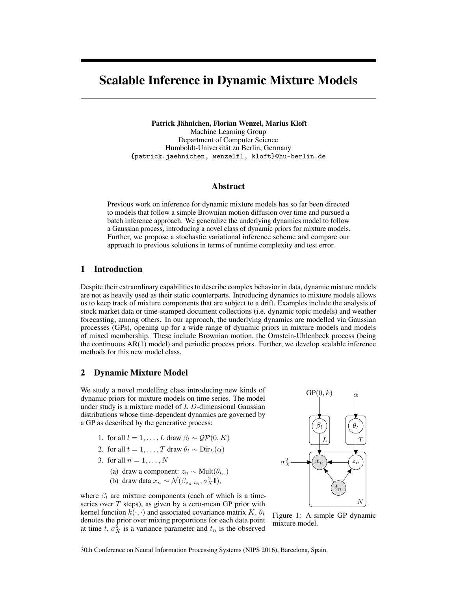# Scalable Inference in Dynamic Mixture Models

Patrick Jähnichen, Florian Wenzel, Marius Kloft Machine Learning Group Department of Computer Science Humboldt-Universität zu Berlin, Germany {patrick.jaehnichen, wenzelfl, kloft}@hu-berlin.de

## Abstract

Previous work on inference for dynamic mixture models has so far been directed to models that follow a simple Brownian motion diffusion over time and pursued a batch inference approach. We generalize the underlying dynamics model to follow a Gaussian process, introducing a novel class of dynamic priors for mixture models. Further, we propose a stochastic variational inference scheme and compare our approach to previous solutions in terms of runtime complexity and test error.

## 1 Introduction

Despite their extraordinary capabilities to describe complex behavior in data, dynamic mixture models are not as heavily used as their static counterparts. Introducing dynamics to mixture models allows us to keep track of mixture components that are subject to a drift. Examples include the analysis of stock market data or time-stamped document collections (i.e. dynamic topic models) and weather forecasting, among others. In our approach, the underlying dynamics are modelled via Gaussian processes (GPs), opening up for a wide range of dynamic priors in mixture models and models of mixed membership. These include Brownian motion, the Ornstein-Uhlenbeck process (being the continuous AR(1) model) and periodic process priors. Further, we develop scalable inference methods for this new model class.

## 2 Dynamic Mixture Model

We study a novel modelling class introducing new kinds of dynamic priors for mixture models on time series. The model under study is a mixture model of  $L$   $D$ -dimensional Gaussian distributions whose time-dependent dynamics are governed by a GP as described by the generative process:

- 1. for all  $l = 1, ..., L$  draw  $\beta_l \sim \mathcal{GP}(0, K)$
- 2. for all  $t = 1, \ldots, T$  draw  $\theta_t \sim \text{Dir}_L(\alpha)$
- 3. for all  $n = 1, \ldots, N$ 
	- (a) draw a component:  $z_n \sim \text{Mult}(\theta_{t_n})$
	- (b) draw data  $x_n \sim \mathcal{N}(\beta_{z_n,t_n}, \sigma_X^2 \mathbf{I}),$

where  $\beta_l$  are mixture components (each of which is a timeseries over  $T$  steps), as given by a zero-mean GP prior with kernel function  $k(\cdot, \cdot)$  and associated covariance matrix K.  $\theta_t$ denotes the prior over mixing proportions for each data point at time t,  $\sigma_X^2$  is a variance parameter and  $t_n$  is the observed

<span id="page-0-0"></span>

Figure 1: A simple GP dynamic mixture model.

30th Conference on Neural Information Processing Systems (NIPS 2016), Barcelona, Spain.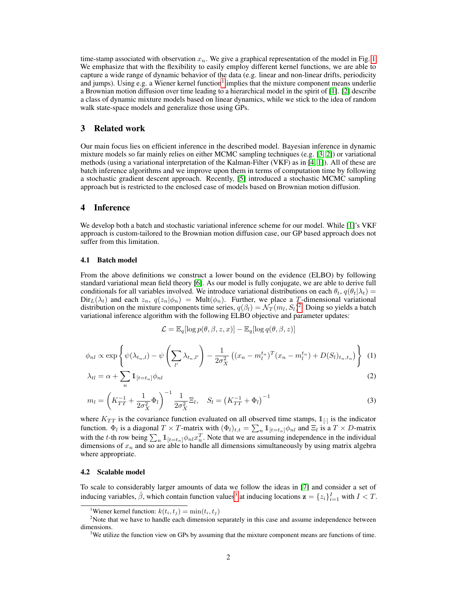time-stamp associated with observation  $x_n$ . We give a graphical representation of the model in Fig. [1.](#page-0-0) We emphasize that with the flexibility to easily employ different kernel functions, we are able to capture a wide range of dynamic behavior of the data (e.g. linear and non-linear drifts, periodicity and jumps). Using e.g. a Wiener kernel function<sup>[1](#page-1-0)</sup> implies that the mixture component means underlie a Brownian motion diffusion over time leading to a hierarchical model in the spirit of [\[1\]](#page-4-0). [\[2\]](#page-4-1) describe a class of dynamic mixture models based on linear dynamics, while we stick to the idea of random walk state-space models and generalize those using GPs.

## 3 Related work

Our main focus lies on efficient inference in the described model. Bayesian inference in dynamic mixture models so far mainly relies on either MCMC sampling techniques (e.g. [\[3,](#page-4-2) [2\]](#page-4-1)) or variational methods (using a variational interpretation of the Kalman-Filter (VKF) as in [\[4,](#page-4-3) [1\]](#page-4-0)). All of these are batch inference algorithms and we improve upon them in terms of computation time by following a stochastic gradient descent approach. Recently, [\[5\]](#page-4-4) introduced a stochastic MCMC sampling approach but is restricted to the enclosed case of models based on Brownian motion diffusion.

## 4 Inference

We develop both a batch and stochastic variational inference scheme for our model. While [\[1\]](#page-4-0)'s VKF approach is custom-tailored to the Brownian motion diffusion case, our GP based approach does not suffer from this limitation.

#### 4.1 Batch model

From the above definitions we construct a lower bound on the evidence (ELBO) by following standard variational mean field theory [\[6\]](#page-4-5). As our model is fully conjugate, we are able to derive full conditionals for all variables involved. We introduce variational distributions on each  $\theta_t$ ,  $q(\theta_t|\lambda_t)$  =  $Dir_L(\lambda_t)$  and each  $z_n$ ,  $q(z_n|\phi_n) = Mult(\phi_n)$ . Further, we place a T-dimensional variational distribution on the mixture components time series,  $q(\beta_l) = \mathcal{N}_T(m_l, S_l)^2$  $q(\beta_l) = \mathcal{N}_T(m_l, S_l)^2$ . Doing so yields a batch variational inference algorithm with the following ELBO objective and parameter updates:

<span id="page-1-4"></span><span id="page-1-3"></span>
$$
\mathcal{L} = \mathbb{E}_q[\log p(\theta, \beta, z, x)] - \mathbb{E}_q[\log q(\theta, \beta, z)]
$$

$$
\phi_{nl} \propto \exp\left\{\psi(\lambda_{t_n,l}) - \psi\left(\sum_{l'} \lambda_{t_n,l'}\right) - \frac{1}{2\sigma_X^2} \left((x_n - m_l^{t_n})^T (x_n - m_l^{t_n}) + D(S_l)_{t_n,t_n}\right)\right\}
$$
(1)

$$
\lambda_{tl} = \alpha + \sum_{n} \mathbb{1}_{[t=t_n]} \phi_{nl} \tag{2}
$$

$$
m_l = \left(K_{TT}^{-1} + \frac{1}{2\sigma_X^2} \Phi_l\right)^{-1} \frac{1}{2\sigma_X^2} \Xi_l, \quad S_l = \left(K_{TT}^{-1} + \Phi_l\right)^{-1}
$$
(3)

where  $K_{TT}$  is the covariance function evaluated on all observed time stamps,  $1_{[-]}$  is the indicator function.  $\Phi_l$  is a diagonal  $T \times T$ -matrix with  $(\Phi_l)_{t,t} = \sum_n 1_{[t=t_n]} \phi_{nl}$  and  $\Xi_l$  is a  $T \times D$ -matrix with the t-th row being  $\sum_n 1_{[t=t_n]} \phi_{nl} x_n^T$ . Note that we are assuming independence in the individual dimensions of  $x_n$  and so are able to handle all dimensions simultaneously by using matrix algebra where appropriate.

#### 4.2 Scalable model

To scale to considerably larger amounts of data we follow the ideas in [\[7\]](#page-4-6) and consider a set of inducing variables,  $\hat{\beta}$ , which contain function values<sup>[3](#page-1-2)</sup> at inducing locations  $\mathbf{z} = \{z_i\}_{i=1}^I$  with  $I < T$ .

<span id="page-1-1"></span><span id="page-1-0"></span><sup>&</sup>lt;sup>1</sup>Wiener kernel function:  $k(t_i, t_j) = \min(t_i, t_j)$ 

 $2$ Note that we have to handle each dimension separately in this case and assume independence between dimensions.

<span id="page-1-2"></span><sup>&</sup>lt;sup>3</sup>We utilize the function view on GPs by assuming that the mixture component means are functions of time.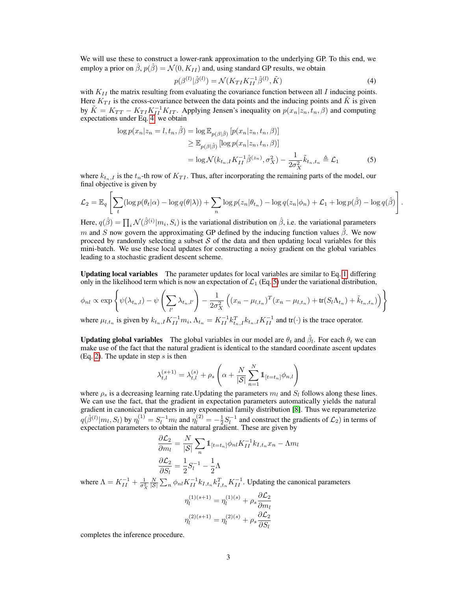We will use these to construct a lower-rank approximation to the underlying GP. To this end, we employ a prior on  $\hat{\beta}$ ,  $p(\hat{\beta}) = \mathcal{N}(0, K_{II})$  and, using standard GP results, we obtain

<span id="page-2-1"></span><span id="page-2-0"></span>
$$
p(\beta^{(l)}|\hat{\beta}^{(l)}) = \mathcal{N}(K_{TI}K_{II}^{-1}\hat{\beta}^{(l)}, \tilde{K})
$$
\n(4)

with  $K_{II}$  the matrix resulting from evaluating the covariance function between all I inducing points. Here  $K_{TI}$  is the cross-covariance between the data points and the inducing points and  $\tilde{K}$  is given by  $\tilde{K} = K_{TT} - K_{TI} K_{II}^{-1} K_{IT}$ . Applying Jensen's inequality on  $p(x_n | z_n, t_n, \beta)$  and computing expectations under Eq. [4,](#page-2-0) we obtain

$$
\log p(x_n|z_n = l, t_n, \hat{\beta}) = \log \mathbb{E}_{p(\beta|\hat{\beta})} [p(x_n|z_n, t_n, \beta)]
$$
  
\n
$$
\geq \mathbb{E}_{p(\beta|\hat{\beta})} [\log p(x_n|z_n, t_n, \beta)]
$$
  
\n
$$
= \log \mathcal{N}(k_{t_n, I} K_{II}^{-1} \hat{\beta}^{(z_n)}, \sigma_X^2) - \frac{1}{2\sigma_X^2} \tilde{k}_{t_n, t_n} \triangleq \mathcal{L}_1
$$
 (5)

where  $k_{t_n,I}$  is the  $t_n$ -th row of  $K_{TI}$ . Thus, after incorporating the remaining parts of the model, our final objective is given by

$$
\mathcal{L}_2 = \mathbb{E}_q \left[ \sum_t (\log p(\theta_t|\alpha) - \log q(\theta|\lambda)) + \sum_n \log p(z_n|\theta_{t_n}) - \log q(z_n|\phi_n) + \mathcal{L}_1 + \log p(\hat{\beta}) - \log q(\hat{\beta}) \right].
$$

Here,  $q(\hat{\beta}) = \prod_i \mathcal{N}(\hat{\beta}^{(i)} | m_i, S_i)$  is the variational distribution on  $\hat{\beta}$ , i.e. the variational parameters m and S now govern the approximating GP defined by the inducing function values  $\hat{\beta}$ . We now proceed by randomly selecting a subset  $S$  of the data and then updating local variables for this mini-batch. We use these local updates for constructing a noisy gradient on the global variables leading to a stochastic gradient descent scheme.

Updating local variables The parameter updates for local variables are similar to Eq. [1,](#page-1-3) differing only in the likelihood term which is now an expectation of  $\mathcal{L}_1$  (Eq. [5\)](#page-2-1) under the variational distribution,

$$
\phi_{nl} \propto \exp\left\{\psi(\lambda_{t_n,l}) - \psi\left(\sum_{l'} \lambda_{t_n,l'}\right) - \frac{1}{2\sigma_X^2} \left((x_n - \mu_{l,t_n})^T (x_n - \mu_{l,t_n}) + \text{tr}(S_l \Lambda_{t_n}) + \tilde{k}_{t_n,t_n})\right)\right\}
$$

where  $\mu_{l,t_n}$  is given by  $k_{t_n,I}K_{II}^{-1}m_i$ ,  $\Lambda_{t_n} = K_{II}^{-1}k_{t_n,I}^Tk_{t_n,I}K_{II}^{-1}$  and  $\text{tr}(\cdot)$  is the trace operator.

**Updating global variables** The global variables in our model are  $\theta_t$  and  $\hat{\beta}_l$ . For each  $\theta_t$  we can make use of the fact that the natural gradient is identical to the standard coordinate ascent updates (Eq. [2\)](#page-1-4). The update in step  $s$  is then

$$
\lambda_{t,l}^{(s+1)} = \lambda_{t,l}^{(s)} + \rho_s \left( \alpha + \frac{N}{|\mathcal{S}|} \sum_{n=1}^{N} \mathbb{1}_{[t=t_n]} \phi_{n,l} \right)
$$

where  $\rho_s$  is a decreasing learning rate. Updating the parameters  $m_l$  and  $S_l$  follows along these lines. We can use the fact, that the gradient in expectation parameters automatically yields the natural gradient in canonical parameters in any exponential family distribution [\[8\]](#page-4-7). Thus we reparameterize  $q(\hat{\beta}^{(l)}|m_l, S_l)$  by  $\eta_l^{(1)} = S_l^{-1}m_l$  and  $\eta_l^{(2)} = -\frac{1}{2}S_l^{-1}$  and construct the gradients of  $\mathcal{L}_2$ ) in terms of expectation parameters to obtain the natural gradient. These are given by

$$
\frac{\partial \mathcal{L}_2}{\partial m_l} = \frac{N}{|\mathcal{S}|} \sum_n \mathbb{1}_{[t=t_n]} \phi_{nl} K_{II}^{-1} k_{I,t_n} x_n - \Lambda m_l
$$

$$
\frac{\partial \mathcal{L}_2}{\partial S_l} = \frac{1}{2} S_l^{-1} - \frac{1}{2} \Lambda
$$

where  $\Lambda = K_{II}^{-1} + \frac{1}{\sigma_X^2}$  $\frac{N}{|S|} \sum_{n} \phi_{nl} K_{II}^{-1} k_{I,t_n} k_{I,t_n}^{T} K_{II}^{-1}$ . Updating the canonical parameters

$$
\eta_l^{(1)(s+1)} = \eta_l^{(1)(s)} + \rho_s \frac{\partial \mathcal{L}_2}{\partial m_l}
$$

$$
\eta_l^{(2)(s+1)} = \eta_l^{(2)(s)} + \rho_s \frac{\partial \mathcal{L}_2}{\partial S_l}
$$

completes the inference procedure.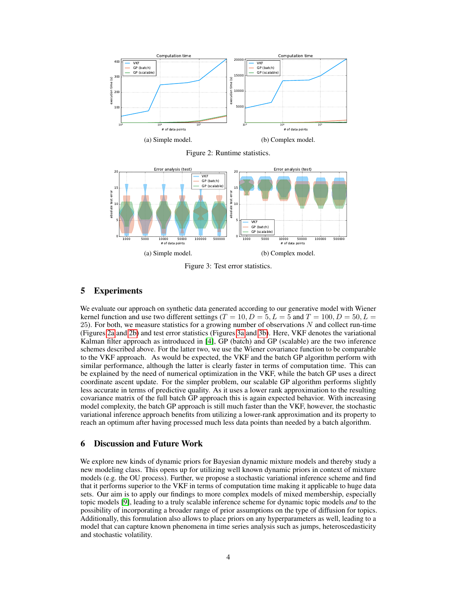<span id="page-3-0"></span>

Figure 2: Runtime statistics.

<span id="page-3-1"></span>

Figure 3: Test error statistics.

# 5 Experiments

We evaluate our approach on synthetic data generated according to our generative model with Wiener kernel function and use two different settings ( $T = 10, D = 5, L = 5$  and  $T = 100, D = 50, L =$ 25). For both, we measure statistics for a growing number of observations  $N$  and collect run-time (Figures [2a](#page-3-0) and [2b\)](#page-3-0) and test error statistics (Figures [3a](#page-3-1) and [3b\)](#page-3-1). Here, VKF denotes the variational Kalman filter approach as introduced in [\[4\]](#page-4-3), GP (batch) and GP (scalable) are the two inference schemes described above. For the latter two, we use the Wiener covariance function to be comparable to the VKF approach. As would be expected, the VKF and the batch GP algorithm perform with similar performance, although the latter is clearly faster in terms of computation time. This can be explained by the need of numerical optimization in the VKF, while the batch GP uses a direct coordinate ascent update. For the simpler problem, our scalable GP algorithm performs slightly less accurate in terms of predictive quality. As it uses a lower rank approximation to the resulting covariance matrix of the full batch GP approach this is again expected behavior. With increasing model complexity, the batch GP approach is still much faster than the VKF, however, the stochastic variational inference approach benefits from utilizing a lower-rank approximation and its property to reach an optimum after having processed much less data points than needed by a batch algorithm.

# 6 Discussion and Future Work

We explore new kinds of dynamic priors for Bayesian dynamic mixture models and thereby study a new modeling class. This opens up for utilizing well known dynamic priors in context of mixture models (e.g. the OU process). Further, we propose a stochastic variational inference scheme and find that it performs superior to the VKF in terms of computation time making it applicable to huge data sets. Our aim is to apply our findings to more complex models of mixed membership, especially topic models [\[9\]](#page-4-8), leading to a truly scalable inference scheme for dynamic topic models *and* to the possibility of incorporating a broader range of prior assumptions on the type of diffusion for topics. Additionally, this formulation also allows to place priors on any hyperparameters as well, leading to a model that can capture known phenomena in time series analysis such as jumps, heteroscedasticity and stochastic volatility.